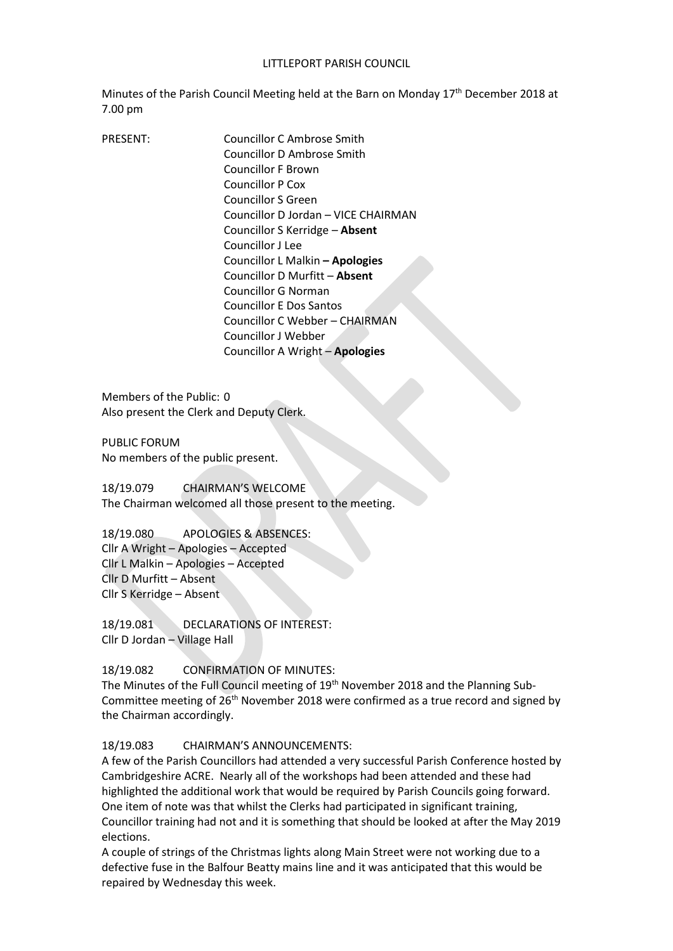#### LITTLEPORT PARISH COUNCIL

Minutes of the Parish Council Meeting held at the Barn on Monday 17<sup>th</sup> December 2018 at 7.00 pm

PRESENT: Councillor C Ambrose Smith Councillor D Ambrose Smith Councillor F Brown Councillor P Cox Councillor S Green Councillor D Jordan – VICE CHAIRMAN Councillor S Kerridge – **Absent**  Councillor J Lee Councillor L Malkin **– Apologies** Councillor D Murfitt – **Absent**  Councillor G Norman Councillor E Dos Santos Councillor C Webber – CHAIRMAN Councillor J Webber Councillor A Wright – **Apologies**

Members of the Public: 0 Also present the Clerk and Deputy Clerk.

PUBLIC FORUM No members of the public present.

18/19.079 CHAIRMAN'S WELCOME The Chairman welcomed all those present to the meeting.

18/19.080 APOLOGIES & ABSENCES: Cllr A Wright – Apologies – Accepted Cllr L Malkin – Apologies – Accepted Cllr D Murfitt – Absent Cllr S Kerridge – Absent

18/19.081 DECLARATIONS OF INTEREST: Cllr D Jordan – Village Hall

## 18/19.082 CONFIRMATION OF MINUTES:

The Minutes of the Full Council meeting of 19<sup>th</sup> November 2018 and the Planning Sub-Committee meeting of  $26<sup>th</sup>$  November 2018 were confirmed as a true record and signed by the Chairman accordingly.

#### 18/19.083 CHAIRMAN'S ANNOUNCEMENTS:

A few of the Parish Councillors had attended a very successful Parish Conference hosted by Cambridgeshire ACRE. Nearly all of the workshops had been attended and these had highlighted the additional work that would be required by Parish Councils going forward. One item of note was that whilst the Clerks had participated in significant training, Councillor training had not and it is something that should be looked at after the May 2019 elections.

A couple of strings of the Christmas lights along Main Street were not working due to a defective fuse in the Balfour Beatty mains line and it was anticipated that this would be repaired by Wednesday this week.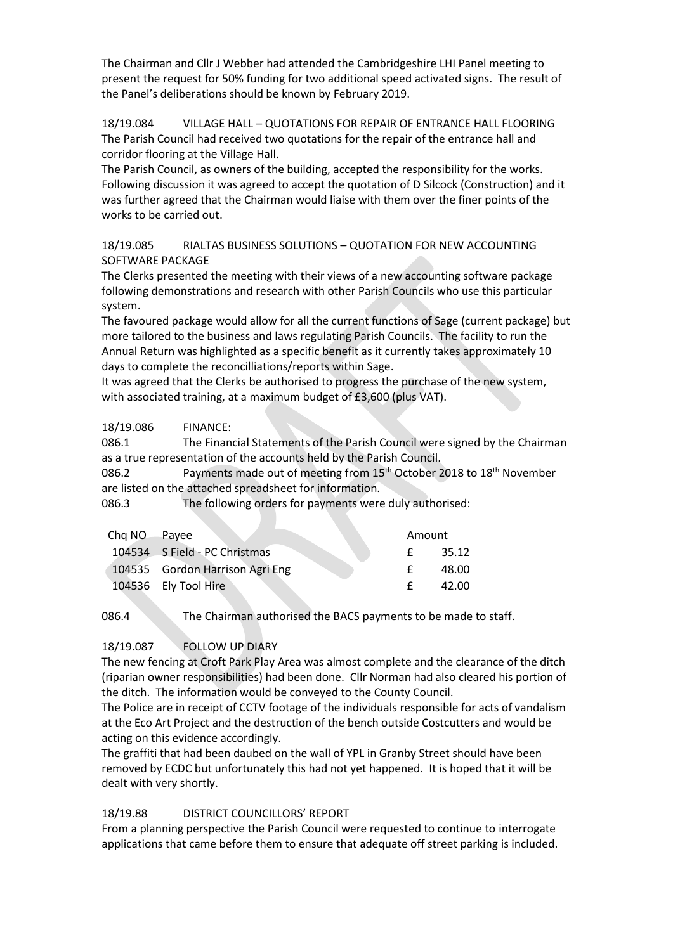The Chairman and Cllr J Webber had attended the Cambridgeshire LHI Panel meeting to present the request for 50% funding for two additional speed activated signs. The result of the Panel's deliberations should be known by February 2019.

18/19.084 VILLAGE HALL – QUOTATIONS FOR REPAIR OF ENTRANCE HALL FLOORING The Parish Council had received two quotations for the repair of the entrance hall and corridor flooring at the Village Hall.

The Parish Council, as owners of the building, accepted the responsibility for the works. Following discussion it was agreed to accept the quotation of D Silcock (Construction) and it was further agreed that the Chairman would liaise with them over the finer points of the works to be carried out.

18/19.085 RIALTAS BUSINESS SOLUTIONS – QUOTATION FOR NEW ACCOUNTING SOFTWARE PACKAGE

The Clerks presented the meeting with their views of a new accounting software package following demonstrations and research with other Parish Councils who use this particular system.

The favoured package would allow for all the current functions of Sage (current package) but more tailored to the business and laws regulating Parish Councils. The facility to run the Annual Return was highlighted as a specific benefit as it currently takes approximately 10 days to complete the reconcilliations/reports within Sage.

It was agreed that the Clerks be authorised to progress the purchase of the new system, with associated training, at a maximum budget of £3,600 (plus VAT).

18/19.086 FINANCE:

086.1 The Financial Statements of the Parish Council were signed by the Chairman as a true representation of the accounts held by the Parish Council.

086.2 Payments made out of meeting from 15<sup>th</sup> October 2018 to 18<sup>th</sup> November are listed on the attached spreadsheet for information.

086.3 The following orders for payments were duly authorised:

| Chg NO Payee |                                 | Amount |       |
|--------------|---------------------------------|--------|-------|
|              | 104534 S Field - PC Christmas   | f.     | 35.12 |
|              | 104535 Gordon Harrison Agri Eng |        | 48.00 |
|              | 104536 Ely Tool Hire            |        | 42.00 |

086.4 The Chairman authorised the BACS payments to be made to staff.

## 18/19.087 FOLLOW UP DIARY

The new fencing at Croft Park Play Area was almost complete and the clearance of the ditch (riparian owner responsibilities) had been done. Cllr Norman had also cleared his portion of the ditch. The information would be conveyed to the County Council.

The Police are in receipt of CCTV footage of the individuals responsible for acts of vandalism at the Eco Art Project and the destruction of the bench outside Costcutters and would be acting on this evidence accordingly.

The graffiti that had been daubed on the wall of YPL in Granby Street should have been removed by ECDC but unfortunately this had not yet happened. It is hoped that it will be dealt with very shortly.

# 18/19.88 DISTRICT COUNCILLORS' REPORT

From a planning perspective the Parish Council were requested to continue to interrogate applications that came before them to ensure that adequate off street parking is included.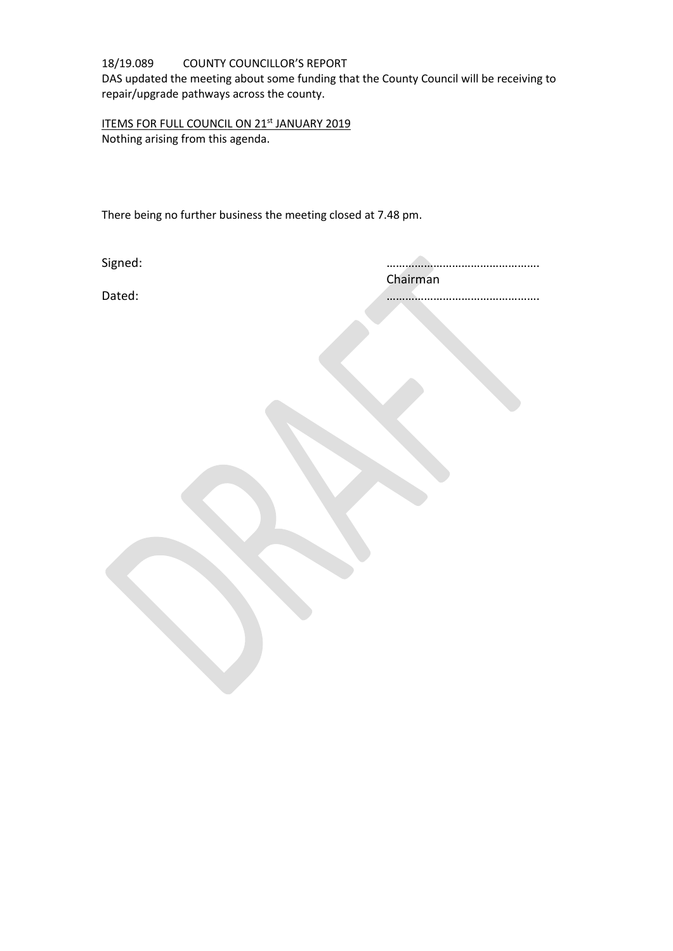## 18/19.089 COUNTY COUNCILLOR'S REPORT DAS updated the meeting about some funding that the County Council will be receiving to repair/upgrade pathways across the county.

ITEMS FOR FULL COUNCIL ON 21st JANUARY 2019 Nothing arising from this agenda.

There being no further business the meeting closed at 7.48 pm.

Signed: …………………………………………. Chairman

Dated: ………………………………………….